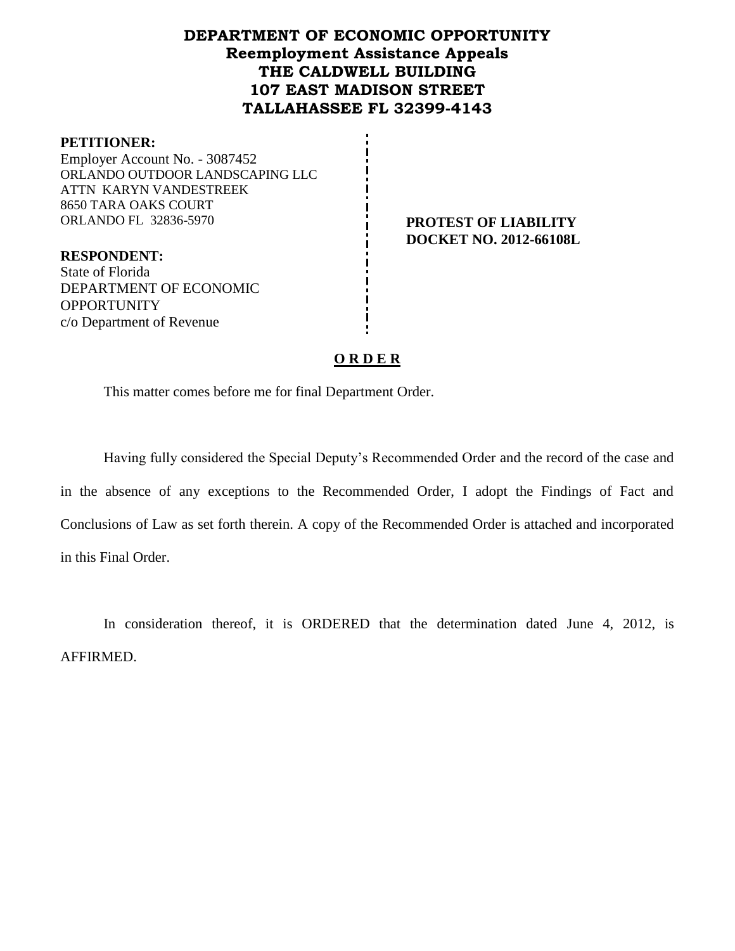## **DEPARTMENT OF ECONOMIC OPPORTUNITY Reemployment Assistance Appeals THE CALDWELL BUILDING 107 EAST MADISON STREET TALLAHASSEE FL 32399-4143**

### **PETITIONER:**

Employer Account No. - 3087452 ORLANDO OUTDOOR LANDSCAPING LLC ATTN KARYN VANDESTREEK 8650 TARA OAKS COURT ORLANDO FL 32836-5970 **PROTEST OF LIABILITY** 

**DOCKET NO. 2012-66108L**

**RESPONDENT:** State of Florida DEPARTMENT OF ECONOMIC **OPPORTUNITY** c/o Department of Revenue

## **O R D E R**

This matter comes before me for final Department Order.

Having fully considered the Special Deputy's Recommended Order and the record of the case and in the absence of any exceptions to the Recommended Order, I adopt the Findings of Fact and Conclusions of Law as set forth therein. A copy of the Recommended Order is attached and incorporated in this Final Order.

In consideration thereof, it is ORDERED that the determination dated June 4, 2012, is AFFIRMED.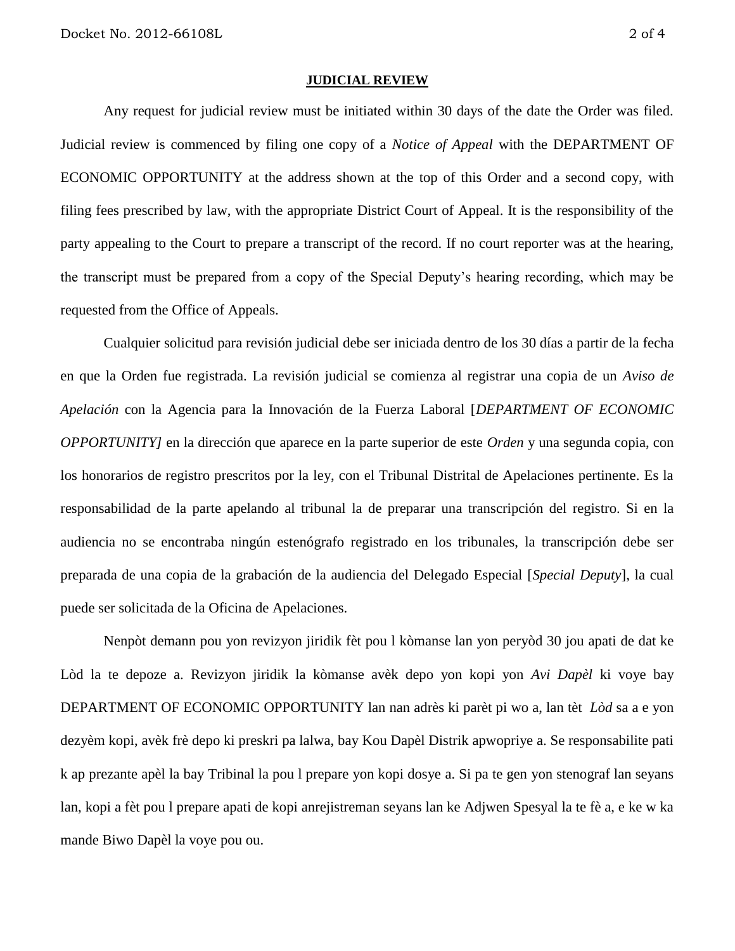#### **JUDICIAL REVIEW**

Any request for judicial review must be initiated within 30 days of the date the Order was filed. Judicial review is commenced by filing one copy of a *Notice of Appeal* with the DEPARTMENT OF ECONOMIC OPPORTUNITY at the address shown at the top of this Order and a second copy, with filing fees prescribed by law, with the appropriate District Court of Appeal. It is the responsibility of the party appealing to the Court to prepare a transcript of the record. If no court reporter was at the hearing, the transcript must be prepared from a copy of the Special Deputy's hearing recording, which may be requested from the Office of Appeals.

Cualquier solicitud para revisión judicial debe ser iniciada dentro de los 30 días a partir de la fecha en que la Orden fue registrada. La revisión judicial se comienza al registrar una copia de un *Aviso de Apelación* con la Agencia para la Innovación de la Fuerza Laboral [*DEPARTMENT OF ECONOMIC OPPORTUNITY]* en la dirección que aparece en la parte superior de este *Orden* y una segunda copia, con los honorarios de registro prescritos por la ley, con el Tribunal Distrital de Apelaciones pertinente. Es la responsabilidad de la parte apelando al tribunal la de preparar una transcripción del registro. Si en la audiencia no se encontraba ningún estenógrafo registrado en los tribunales, la transcripción debe ser preparada de una copia de la grabación de la audiencia del Delegado Especial [*Special Deputy*], la cual puede ser solicitada de la Oficina de Apelaciones.

Nenpòt demann pou yon revizyon jiridik fèt pou l kòmanse lan yon peryòd 30 jou apati de dat ke Lòd la te depoze a. Revizyon jiridik la kòmanse avèk depo yon kopi yon *Avi Dapèl* ki voye bay DEPARTMENT OF ECONOMIC OPPORTUNITY lan nan adrès ki parèt pi wo a, lan tèt *Lòd* sa a e yon dezyèm kopi, avèk frè depo ki preskri pa lalwa, bay Kou Dapèl Distrik apwopriye a. Se responsabilite pati k ap prezante apèl la bay Tribinal la pou l prepare yon kopi dosye a. Si pa te gen yon stenograf lan seyans lan, kopi a fèt pou l prepare apati de kopi anrejistreman seyans lan ke Adjwen Spesyal la te fè a, e ke w ka mande Biwo Dapèl la voye pou ou.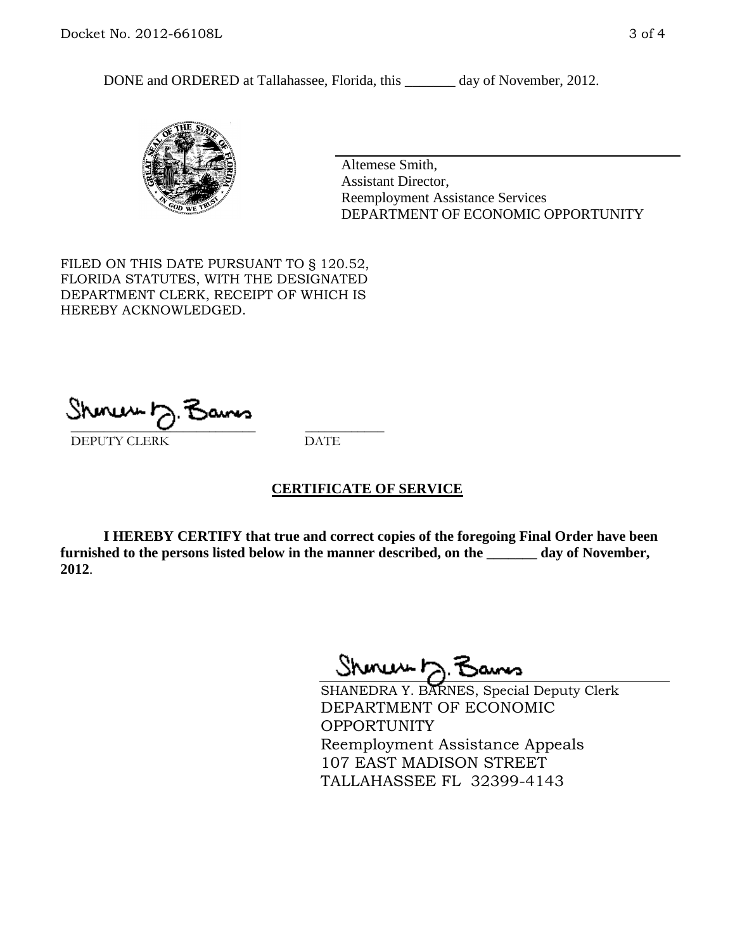DONE and ORDERED at Tallahassee, Florida, this \_\_\_\_\_\_\_ day of November, 2012.



Altemese Smith, Assistant Director, Reemployment Assistance Services DEPARTMENT OF ECONOMIC OPPORTUNITY

FILED ON THIS DATE PURSUANT TO § 120.52, FLORIDA STATUTES, WITH THE DESIGNATED DEPARTMENT CLERK, RECEIPT OF WHICH IS HEREBY ACKNOWLEDGED.

 $\overline{\phantom{a}}$  ,  $\overline{\phantom{a}}$  ,  $\overline{\phantom{a}}$  ,  $\overline{\phantom{a}}$  ,  $\overline{\phantom{a}}$  ,  $\overline{\phantom{a}}$  ,  $\overline{\phantom{a}}$  ,  $\overline{\phantom{a}}$  ,  $\overline{\phantom{a}}$  ,  $\overline{\phantom{a}}$  ,  $\overline{\phantom{a}}$  ,  $\overline{\phantom{a}}$  ,  $\overline{\phantom{a}}$  ,  $\overline{\phantom{a}}$  ,  $\overline{\phantom{a}}$  ,  $\overline{\phantom{a}}$ DEPUTY CLERK DATE

## **CERTIFICATE OF SERVICE**

**I HEREBY CERTIFY that true and correct copies of the foregoing Final Order have been furnished to the persons listed below in the manner described, on the \_\_\_\_\_\_\_ day of November, 2012**.

Sheren J. Bams

SHANEDRA Y. BARNES, Special Deputy Clerk DEPARTMENT OF ECONOMIC OPPORTUNITY Reemployment Assistance Appeals 107 EAST MADISON STREET TALLAHASSEE FL 32399-4143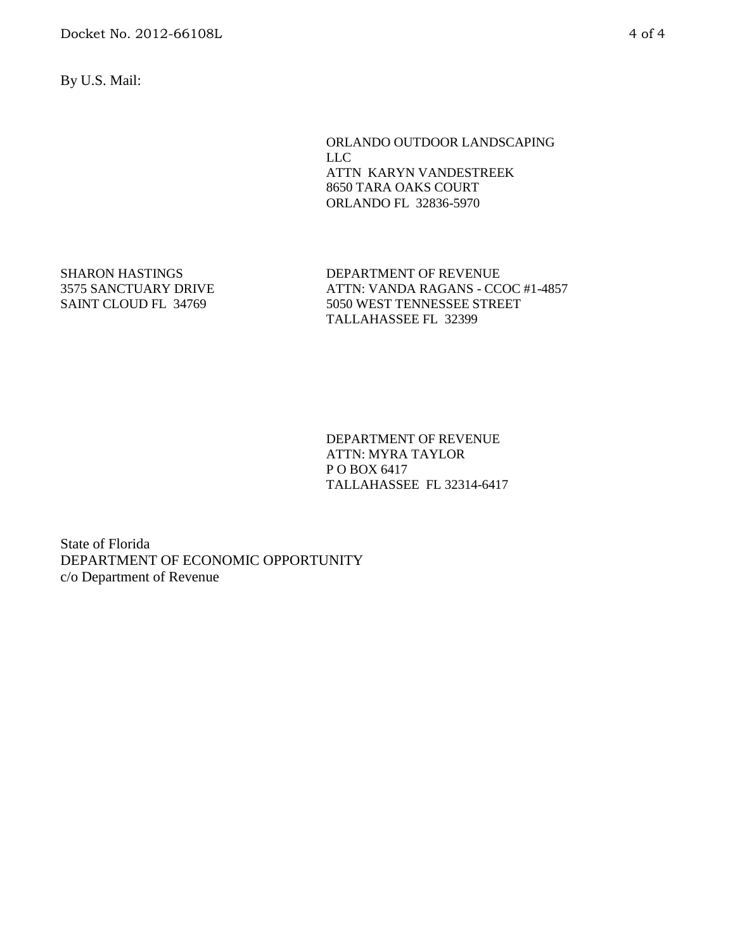By U.S. Mail:

ORLANDO OUTDOOR LANDSCAPING LLC ATTN KARYN VANDESTREEK 8650 TARA OAKS COURT ORLANDO FL 32836-5970

SHARON HASTINGS 3575 SANCTUARY DRIVE SAINT CLOUD FL 34769

DEPARTMENT OF REVENUE ATTN: VANDA RAGANS - CCOC #1-4857 5050 WEST TENNESSEE STREET TALLAHASSEE FL 32399

DEPARTMENT OF REVENUE ATTN: MYRA TAYLOR P O BOX 6417 TALLAHASSEE FL 32314-6417

State of Florida DEPARTMENT OF ECONOMIC OPPORTUNITY c/o Department of Revenue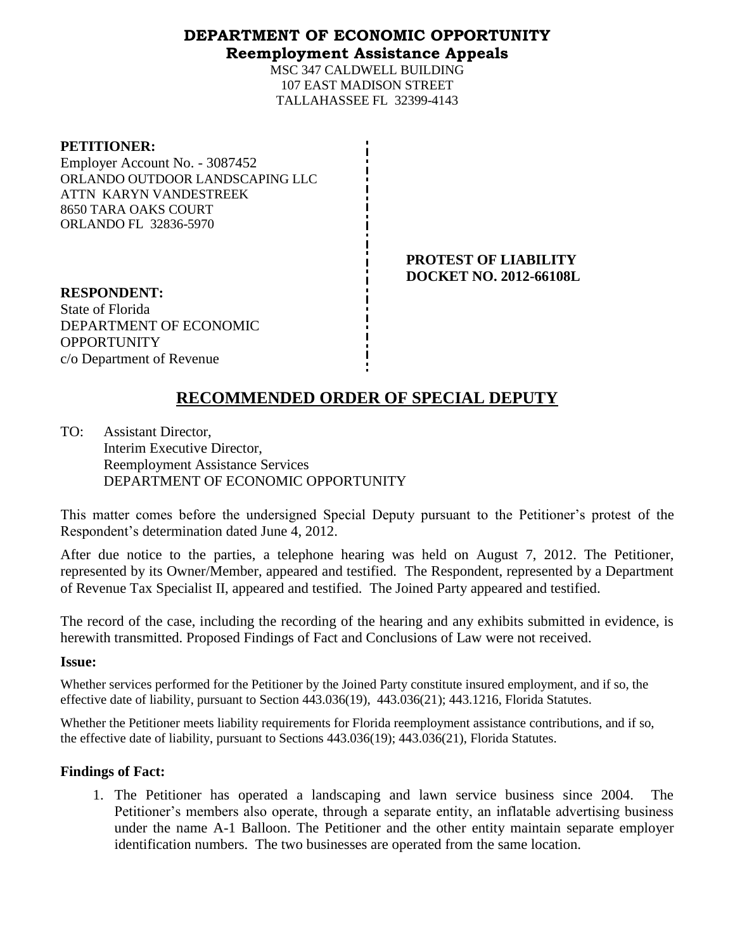## **DEPARTMENT OF ECONOMIC OPPORTUNITY Reemployment Assistance Appeals**

MSC 347 CALDWELL BUILDING 107 EAST MADISON STREET TALLAHASSEE FL 32399-4143

| <b>PETITIONER:</b>              |
|---------------------------------|
| Employer Account No. - 3087452  |
| ORLANDO OUTDOOR LANDSCAPING LLC |
| ATTN KARYN VANDESTREEK          |
| 8650 TARA OAKS COURT            |
| <b>ORLANDO FL 32836-5970</b>    |
|                                 |

**PROTEST OF LIABILITY DOCKET NO. 2012-66108L**

**RESPONDENT:** State of Florida DEPARTMENT OF ECONOMIC **OPPORTUNITY** c/o Department of Revenue

# **RECOMMENDED ORDER OF SPECIAL DEPUTY**

TO: Assistant Director, Interim Executive Director, Reemployment Assistance Services DEPARTMENT OF ECONOMIC OPPORTUNITY

This matter comes before the undersigned Special Deputy pursuant to the Petitioner's protest of the Respondent's determination dated June 4, 2012.

After due notice to the parties, a telephone hearing was held on August 7, 2012. The Petitioner, represented by its Owner/Member, appeared and testified. The Respondent, represented by a Department of Revenue Tax Specialist II, appeared and testified. The Joined Party appeared and testified.

The record of the case, including the recording of the hearing and any exhibits submitted in evidence, is herewith transmitted. Proposed Findings of Fact and Conclusions of Law were not received.

## **Issue:**

Whether services performed for the Petitioner by the Joined Party constitute insured employment, and if so, the effective date of liability, pursuant to Section 443.036(19), 443.036(21); 443.1216, Florida Statutes.

Whether the Petitioner meets liability requirements for Florida reemployment assistance contributions, and if so, the effective date of liability, pursuant to Sections 443.036(19); 443.036(21), Florida Statutes.

## **Findings of Fact:**

1. The Petitioner has operated a landscaping and lawn service business since 2004. The Petitioner's members also operate, through a separate entity, an inflatable advertising business under the name A-1 Balloon. The Petitioner and the other entity maintain separate employer identification numbers. The two businesses are operated from the same location.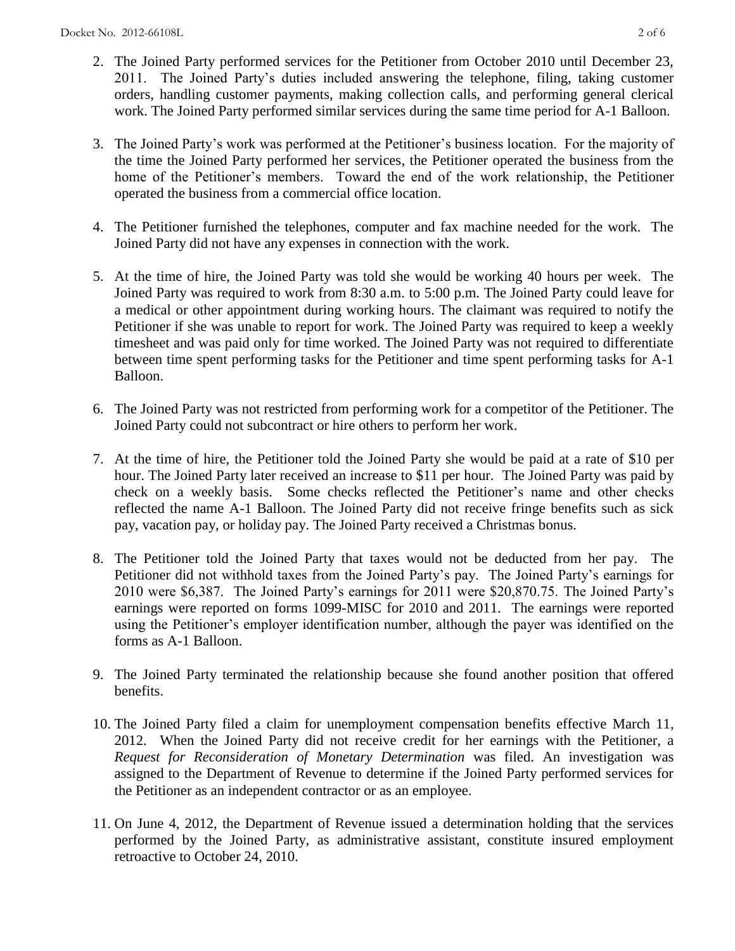- 2. The Joined Party performed services for the Petitioner from October 2010 until December 23, 2011. The Joined Party's duties included answering the telephone, filing, taking customer orders, handling customer payments, making collection calls, and performing general clerical work. The Joined Party performed similar services during the same time period for A-1 Balloon.
- 3. The Joined Party's work was performed at the Petitioner's business location. For the majority of the time the Joined Party performed her services, the Petitioner operated the business from the home of the Petitioner's members. Toward the end of the work relationship, the Petitioner operated the business from a commercial office location.
- 4. The Petitioner furnished the telephones, computer and fax machine needed for the work. The Joined Party did not have any expenses in connection with the work.
- 5. At the time of hire, the Joined Party was told she would be working 40 hours per week. The Joined Party was required to work from 8:30 a.m. to 5:00 p.m. The Joined Party could leave for a medical or other appointment during working hours. The claimant was required to notify the Petitioner if she was unable to report for work. The Joined Party was required to keep a weekly timesheet and was paid only for time worked. The Joined Party was not required to differentiate between time spent performing tasks for the Petitioner and time spent performing tasks for A-1 Balloon.
- 6. The Joined Party was not restricted from performing work for a competitor of the Petitioner. The Joined Party could not subcontract or hire others to perform her work.
- 7. At the time of hire, the Petitioner told the Joined Party she would be paid at a rate of \$10 per hour. The Joined Party later received an increase to \$11 per hour. The Joined Party was paid by check on a weekly basis. Some checks reflected the Petitioner's name and other checks reflected the name A-1 Balloon. The Joined Party did not receive fringe benefits such as sick pay, vacation pay, or holiday pay. The Joined Party received a Christmas bonus.
- 8. The Petitioner told the Joined Party that taxes would not be deducted from her pay. The Petitioner did not withhold taxes from the Joined Party's pay. The Joined Party's earnings for 2010 were \$6,387. The Joined Party's earnings for 2011 were \$20,870.75. The Joined Party's earnings were reported on forms 1099-MISC for 2010 and 2011. The earnings were reported using the Petitioner's employer identification number, although the payer was identified on the forms as A-1 Balloon.
- 9. The Joined Party terminated the relationship because she found another position that offered benefits.
- 10. The Joined Party filed a claim for unemployment compensation benefits effective March 11, 2012. When the Joined Party did not receive credit for her earnings with the Petitioner, a *Request for Reconsideration of Monetary Determination* was filed. An investigation was assigned to the Department of Revenue to determine if the Joined Party performed services for the Petitioner as an independent contractor or as an employee.
- 11. On June 4, 2012, the Department of Revenue issued a determination holding that the services performed by the Joined Party, as administrative assistant, constitute insured employment retroactive to October 24, 2010.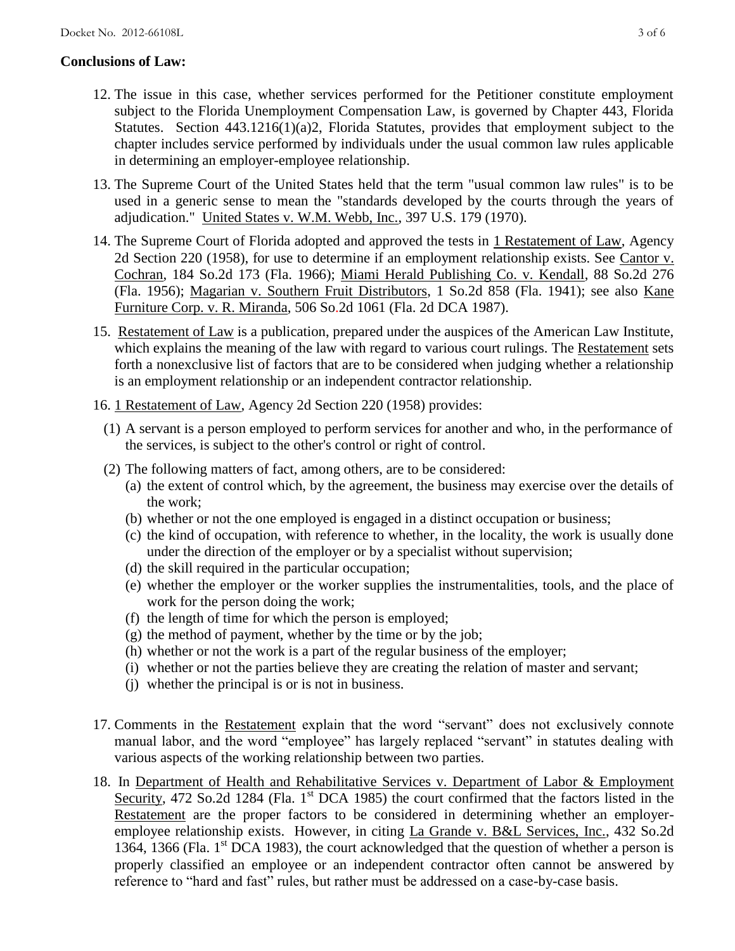## **Conclusions of Law:**

- 12. The issue in this case, whether services performed for the Petitioner constitute employment subject to the Florida Unemployment Compensation Law, is governed by Chapter 443, Florida Statutes. Section 443.1216(1)(a)2, Florida Statutes, provides that employment subject to the chapter includes service performed by individuals under the usual common law rules applicable in determining an employer-employee relationship.
- 13. The Supreme Court of the United States held that the term "usual common law rules" is to be used in a generic sense to mean the "standards developed by the courts through the years of adjudication." United States v. W.M. Webb, Inc., 397 U.S. 179 (1970).
- 14. The Supreme Court of Florida adopted and approved the tests in 1 Restatement of Law, Agency 2d Section 220 (1958), for use to determine if an employment relationship exists. See Cantor v. Cochran, 184 So.2d 173 (Fla. 1966); Miami Herald Publishing Co. v. Kendall, 88 So.2d 276 (Fla. 1956); Magarian v. Southern Fruit Distributors, 1 So.2d 858 (Fla. 1941); see also Kane Furniture Corp. v. R. Miranda, 506 So.2d 1061 (Fla. 2d DCA 1987).
- 15. Restatement of Law is a publication, prepared under the auspices of the American Law Institute, which explains the meaning of the law with regard to various court rulings. The Restatement sets forth a nonexclusive list of factors that are to be considered when judging whether a relationship is an employment relationship or an independent contractor relationship.
- 16. 1 Restatement of Law, Agency 2d Section 220 (1958) provides:
	- (1) A servant is a person employed to perform services for another and who, in the performance of the services, is subject to the other's control or right of control.
	- (2) The following matters of fact, among others, are to be considered:
		- (a) the extent of control which, by the agreement, the business may exercise over the details of the work;
		- (b) whether or not the one employed is engaged in a distinct occupation or business;
		- (c) the kind of occupation, with reference to whether, in the locality, the work is usually done under the direction of the employer or by a specialist without supervision;
		- (d) the skill required in the particular occupation;
		- (e) whether the employer or the worker supplies the instrumentalities, tools, and the place of work for the person doing the work;
		- (f) the length of time for which the person is employed;
		- $(g)$  the method of payment, whether by the time or by the job;
		- (h) whether or not the work is a part of the regular business of the employer;
		- (i) whether or not the parties believe they are creating the relation of master and servant;
		- (j) whether the principal is or is not in business.
- 17. Comments in the Restatement explain that the word "servant" does not exclusively connote manual labor, and the word "employee" has largely replaced "servant" in statutes dealing with various aspects of the working relationship between two parties.
- 18. In Department of Health and Rehabilitative Services v. Department of Labor & Employment Security, 472 So.2d 1284 (Fla. 1<sup>st</sup> DCA 1985) the court confirmed that the factors listed in the Restatement are the proper factors to be considered in determining whether an employeremployee relationship exists. However, in citing La Grande v. B&L Services, Inc., 432 So.2d 1364, 1366 (Fla.  $1<sup>st</sup>$  DCA 1983), the court acknowledged that the question of whether a person is properly classified an employee or an independent contractor often cannot be answered by reference to "hard and fast" rules, but rather must be addressed on a case-by-case basis.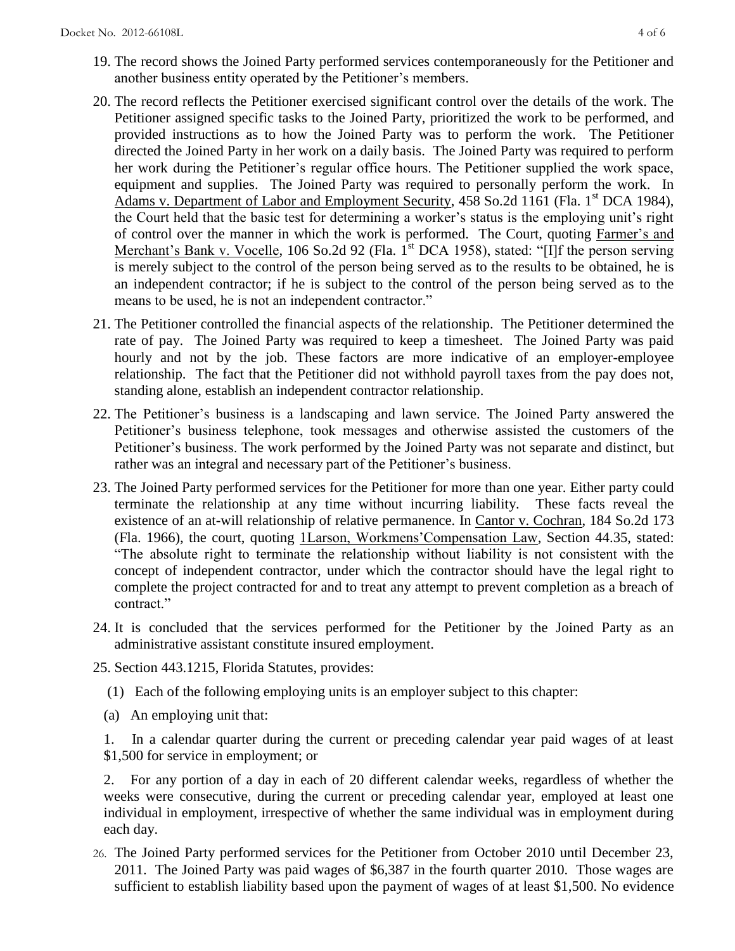- 19. The record shows the Joined Party performed services contemporaneously for the Petitioner and another business entity operated by the Petitioner's members.
- 20. The record reflects the Petitioner exercised significant control over the details of the work. The Petitioner assigned specific tasks to the Joined Party, prioritized the work to be performed, and provided instructions as to how the Joined Party was to perform the work. The Petitioner directed the Joined Party in her work on a daily basis. The Joined Party was required to perform her work during the Petitioner's regular office hours. The Petitioner supplied the work space, equipment and supplies. The Joined Party was required to personally perform the work. In Adams v. Department of Labor and Employment Security, 458 So.2d 1161 (Fla. 1<sup>st</sup> DCA 1984), the Court held that the basic test for determining a worker's status is the employing unit's right of control over the manner in which the work is performed. The Court, quoting Farmer's and Merchant's Bank v. Vocelle, 106 So.2d 92 (Fla. 1<sup>st</sup> DCA 1958), stated: "[I]f the person serving is merely subject to the control of the person being served as to the results to be obtained, he is an independent contractor; if he is subject to the control of the person being served as to the means to be used, he is not an independent contractor."
- 21. The Petitioner controlled the financial aspects of the relationship. The Petitioner determined the rate of pay. The Joined Party was required to keep a timesheet. The Joined Party was paid hourly and not by the job. These factors are more indicative of an employer-employee relationship. The fact that the Petitioner did not withhold payroll taxes from the pay does not, standing alone, establish an independent contractor relationship.
- 22. The Petitioner's business is a landscaping and lawn service. The Joined Party answered the Petitioner's business telephone, took messages and otherwise assisted the customers of the Petitioner's business. The work performed by the Joined Party was not separate and distinct, but rather was an integral and necessary part of the Petitioner's business.
- 23. The Joined Party performed services for the Petitioner for more than one year. Either party could terminate the relationship at any time without incurring liability. These facts reveal the existence of an at-will relationship of relative permanence. In Cantor v. Cochran, 184 So.2d 173 (Fla. 1966), the court, quoting 1Larson, Workmens'Compensation Law, Section 44.35, stated: "The absolute right to terminate the relationship without liability is not consistent with the concept of independent contractor, under which the contractor should have the legal right to complete the project contracted for and to treat any attempt to prevent completion as a breach of contract."
- 24. It is concluded that the services performed for the Petitioner by the Joined Party as an administrative assistant constitute insured employment.
- 25. Section 443.1215, Florida Statutes, provides:
	- (1) Each of the following employing units is an employer subject to this chapter:
	- (a) An employing unit that:

1. In a calendar quarter during the current or preceding calendar year paid wages of at least \$1,500 for service in employment; or

2. For any portion of a day in each of 20 different calendar weeks, regardless of whether the weeks were consecutive, during the current or preceding calendar year, employed at least one individual in employment, irrespective of whether the same individual was in employment during each day.

26. The Joined Party performed services for the Petitioner from October 2010 until December 23, 2011. The Joined Party was paid wages of \$6,387 in the fourth quarter 2010. Those wages are sufficient to establish liability based upon the payment of wages of at least \$1,500. No evidence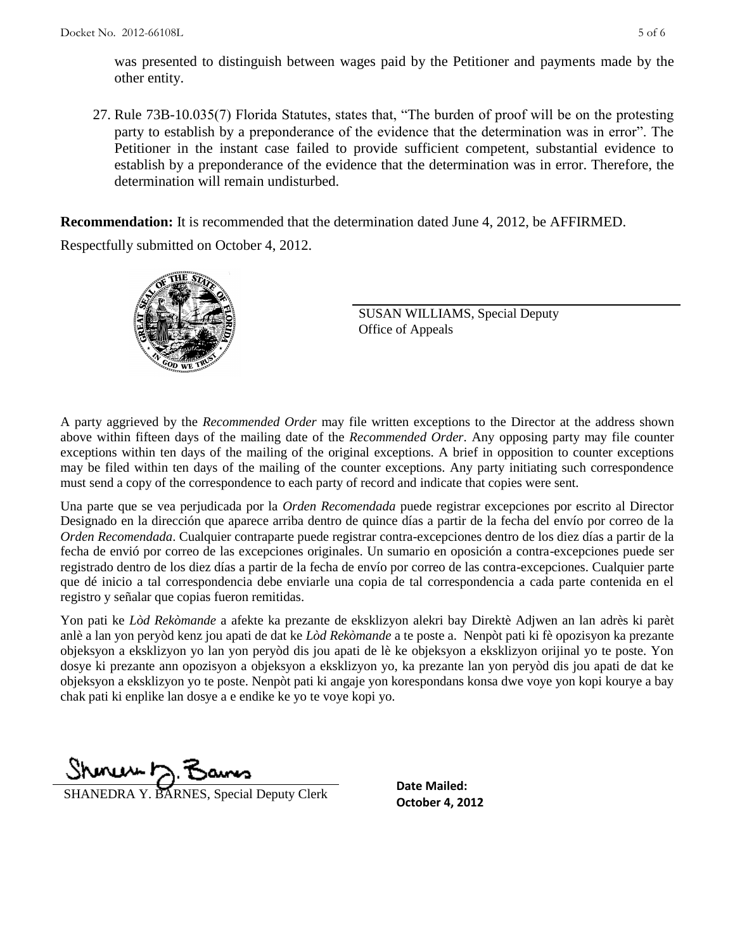was presented to distinguish between wages paid by the Petitioner and payments made by the other entity.

27. Rule 73B-10.035(7) Florida Statutes, states that, "The burden of proof will be on the protesting party to establish by a preponderance of the evidence that the determination was in error". The Petitioner in the instant case failed to provide sufficient competent, substantial evidence to establish by a preponderance of the evidence that the determination was in error. Therefore, the determination will remain undisturbed.

**Recommendation:** It is recommended that the determination dated June 4, 2012, be AFFIRMED.

Respectfully submitted on October 4, 2012.



SUSAN WILLIAMS, Special Deputy Office of Appeals

A party aggrieved by the *Recommended Order* may file written exceptions to the Director at the address shown above within fifteen days of the mailing date of the *Recommended Order*. Any opposing party may file counter exceptions within ten days of the mailing of the original exceptions. A brief in opposition to counter exceptions may be filed within ten days of the mailing of the counter exceptions. Any party initiating such correspondence must send a copy of the correspondence to each party of record and indicate that copies were sent.

Una parte que se vea perjudicada por la *Orden Recomendada* puede registrar excepciones por escrito al Director Designado en la dirección que aparece arriba dentro de quince días a partir de la fecha del envío por correo de la *Orden Recomendada*. Cualquier contraparte puede registrar contra-excepciones dentro de los diez días a partir de la fecha de envió por correo de las excepciones originales. Un sumario en oposición a contra-excepciones puede ser registrado dentro de los diez días a partir de la fecha de envío por correo de las contra-excepciones. Cualquier parte que dé inicio a tal correspondencia debe enviarle una copia de tal correspondencia a cada parte contenida en el registro y señalar que copias fueron remitidas.

Yon pati ke *Lòd Rekòmande* a afekte ka prezante de eksklizyon alekri bay Direktè Adjwen an lan adrès ki parèt anlè a lan yon peryòd kenz jou apati de dat ke *Lòd Rekòmande* a te poste a. Nenpòt pati ki fè opozisyon ka prezante objeksyon a eksklizyon yo lan yon peryòd dis jou apati de lè ke objeksyon a eksklizyon orijinal yo te poste. Yon dosye ki prezante ann opozisyon a objeksyon a eksklizyon yo, ka prezante lan yon peryòd dis jou apati de dat ke objeksyon a eksklizyon yo te poste. Nenpòt pati ki angaje yon korespondans konsa dwe voye yon kopi kourye a bay chak pati ki enplike lan dosye a e endike ke yo te voye kopi yo.

Shoner 7. Ban

**October 4, 2012** SHANEDRA Y. BARNES, Special Deputy Clerk

**Date Mailed:**